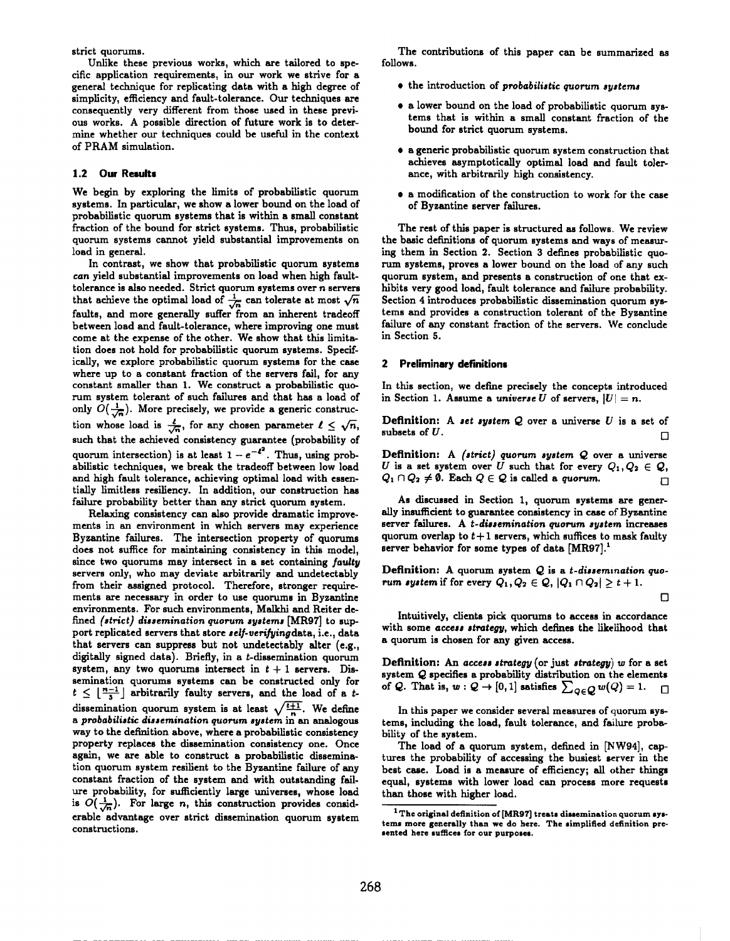strict quorums.

Unlike these previous works, which are tailored to specific application requirements, in our work we strive for a general technique for replicating data with a high degree of simplicity, efficiency and fault-tolerance. Our techniques are consequently very different from those used in these previous works. A possible direction of future work is to determine whether our techniques could be useful in the context of PRAM simulation.

# **1.2 Our Results**

We begin by exploring the limits of probabilistic quorum systems. In particular, we show a lower bound on the load of probabilistic quorum systems that is within a small constant fraction of the bound for strict systems. Thus, probabilistic quorum systems cannot yield substantial improvements on load in general.

In contrast, we show that probabilistic quorum systems can yield substantial improvements on load when high faulttolerance is also needed. Strict quorum systems over n servers that achieve the optimal load of  $\frac{1}{\sqrt{n}}$  can tolerate at most  $\sqrt{n}$ faults, and more generally suffer from an inherent tradeoff between load and fault-tolerance, where improving one must come at the expense of the other. We show that this limitation does not hold for probabilistic quorum systems. Specifically, we explore probabilistic quorum systems for the case where up to a constant fraction of the servers fail, for any constant smaller than **1. We construct a probabilistic quorum system tolerant of such failures end that has a load of** only  $O(\frac{1}{\sqrt{n}})$ . More precisely, we provide a generic construction whose load is  $\frac{4}{\sqrt{n}}$ , for any chosen parameter  $\ell \leq \sqrt{n}$ , such that the achieved consistency guarantee (probability of quorum intersection) is at least  $1 - e^{-t^2}$ . Thus, using probabilistic techniques, we break the tradeoff between low load and high fault tolerance, achieving optimal load with essentially limitless resiliency. In addition, our construction has failure probability better than any strict quorum system.

Relaxing consistency can also provide dramatic improvements in an environment in which servers may experience Byzantine failures. The intersection property of quorums does not suffice for maintaining consistency in this model, since two quorums may intersect in a set containing *faulty* servers only, who may deviate arbitrarily and undetectably from their assigned protocol. Therefore, stronger requirements are necessary in order to use quorums in Byzantine environments. For such environments, Malkhi and Reiter defined *(strict)* dissemination quorum systems [MR97] to support replicated servers that store *self-verifying* data, i.e., data that servers can suppress but not undetectably alter (e.g., digitally signed data). Briefly, *in a* t-dissemination quorum system, any two quorums intersect in  $t + 1$  servers. Dissemination quorums systems can be constmcted only for  $t \leq \lfloor \frac{n-1}{3} \rfloor$  arbitrarily faulty servers, and the load of a tdissemination quorum system is at least  $\sqrt{\frac{t+1}{n}}$ . We define a *probabilistic dissemination quorum system* in an analogous way to the definition above, where a probabilistic consistency property replaces the dissemination consistency one. Once again, we are able to construct a probabilistic dissemination quorum system resilient to the Byzantine failure of any constant fraction of the system end with outstanding failure probability, for sufficiently large universes, whose load is  $O(\frac{1}{\sqrt{n}})$ . For large n, this construction provides considerable advantage over strict dissemination quorum system constructions.

The contributions of this paper can be summarized as follows.

- the introduction of *probabilistic quorum syatema*
- **a** lower bound on the load of probabilistic quorum systems that is within a small constant fraction of the bound for strict quorum systems.
- a generic probabilistic quorum system construction that achieves asymptotically optimal load and fault tolerance, with arbitrarily high consistency.
- a modification of the construction to work for the case of Byzantine server failures.

The rest of this paper is structured as follows. We review the basic definitions of quorum systems and ways of measuring them in Section *2.* Section 3 defines probabilistic quorum systems, proves a lower bound on the load of any such quorum system, and presents a construction of one that exhibits very good load, fault tolerance and failure probability. Section 4 introduces probabilistic dissemination quorum systems and provides a construction tolerant of the Byzantine failure of any constant fraction of the servers, We conclude in Section 5.

## 2 **Preliminary definitions**

In this section, we define precisely the concepts introduced in Section 1. Assume a universe *U* of servers,  $|U| = n$ .

**Definition: A** *set system Q over* a universe *U* is a set of subsets of  $U$ .

Definition: A *(strict) quorum ayntem Q* over a universe *U* is a set system over *U* such that for every  $Q_1, Q_2 \in Q$ ,  $Q_1 \cap Q_2 \neq \emptyset$ . Each  $Q \in \mathcal{Q}$  is called a quorum.

As discussed in Section 1, quorum systems are generally insufficient to guarantee consistency in case of Byzantine server failures. A t-dissemination quorum system increases quorum overlap to  $t + 1$  servers, which suffices to mask faulty server behavior for some types of data  $[MR97].$ <sup>1</sup>

Definition: A quorum system Q is a *t-dissemination quorum* system if for every  $Q_1, Q_2 \in Q$ ,  $|Q_1 \cap Q_2| \ge t + 1$ .

| ٦ |  |
|---|--|
|   |  |
|   |  |

Intuitively, clients pick quorums to access in accordance with some *access strategy*, which defines the likelihood that a quorum is chosen for any given access.

Definition: An access *strategy* (or just *strateg~) w* for a set system  $Q$  specifies a probability distribution on the elements of Q. That is,  $w: Q \to [0,1]$  satisfies  $\sum_{Q \in Q} w(Q) = 1$ .

In this paper we consider several measures of quorum systems, including the load, fault tolerance, and failure probability of the system.

The load of a quorum system, defined in [NW94], captures the probability of accessing the busiest server in the best case. Load is a measure of efficiency; all other things equal, systems with lower load can process more requests than those with higher load.

<sup>1</sup>**The original detlnition of** [MR97]**treats dissemination quorum systems more generally than we do here, The simplified definition pre** $s$  ented here  $s$ uffices for our purposes.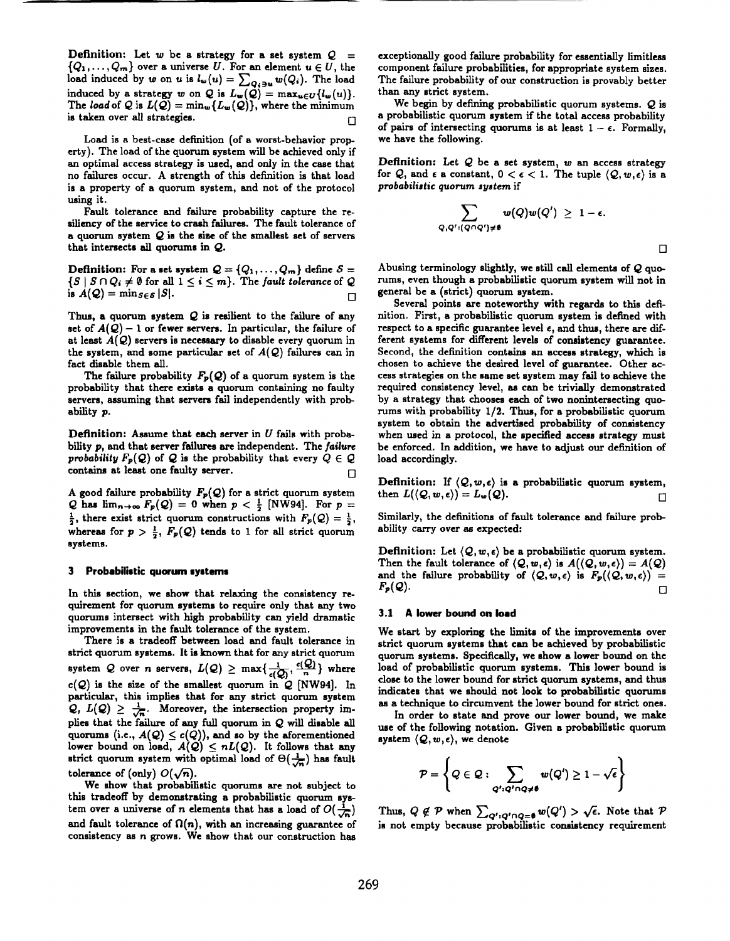**Definition:** Let  $w$  be a strategy for a set system  $Q =$  $\{Q_1,\ldots,Q_m\}$  over a universe U. For an element  $u \in U$ , the load induced by w on u is  $l_{\mathbf{w}}(u) = \sum_{\mathbf{Q}_i \in \mathcal{M}} w(Q_i)$ . The load induced by a strategy w on Q is  $L_w(Q) = \max_{u \in U} \{l_w(u)\}\$ The load of Q is  $L(\mathcal{Q}) = \min_{\bm{w}}\{L_{\bm{w}}(\mathcal{Q})\}$ , where the minimun is taken over all strategies.  $\Box$ 

Load is a best-case definition (of a worst-behavior property). The load of the quorum system will be achieved only if an optimal access strategy is used, and only in the case that no failures occur. A strength of this definition is that load is a property of a quorum system, and not of the protocol using it.

Fault tolerance and failure probability capture the *resiliency* of the service to crash failures. The fault tolerance of a quorum system  $Q$  is the size of the smallest set of servers that intersects all quorums in Q.

**Definition:** For a set system  $Q = \{Q_1, \ldots, Q_m\}$  define  $S =$  $\{S \mid S \cap Q_i \neq \emptyset \}$  for all  $1 \leq i \leq m$ . The fault tolerance of Q is  $A(Q) = \min_{S \in \mathcal{S}} |S|.$ 

Thus, **a** quorum system Q is resilient to the failure of any set of  $A(Q) - 1$  or fewer servers. In particular, the failure of at least *A(Q)* servers is necessary to disable every quorum in the system, and some particular set of  $A(Q)$  failures can in fact disable them all.

The failure probability  $F_p(Q)$  of a quorum system is the probability that there exists a quorum containing no faulty servers, assuming that servers fail independently with probability p.

**Definition:** Assume that each server in  $U$  fails with probability p, and that server failures are independent. The failure probability  $F_p(Q)$  of Q is the probability that every  $Q \in Q$ contains at least one faulty server.

A good failure probability  $F_P(Q)$  for a strict quorum system Q has  $\lim_{n\to\infty} F_p(Q) = 0$  when  $p < \frac{1}{2}$  [NW94]. For  $p =$  $\frac{1}{2}$ , there exist strict quorum constructions with  $F_p(Q) = \frac{1}{2}$ , whereas for  $p > \frac{1}{2}$ ,  $F_p(Q)$  tends to 1 for all strict quorum systems.

## 3 **Probabilistic quorum systems**

**In this** section, we show **that relaxing** the consistency requirement for quorum systems to require only that any two quorums intersect with high probability can yield dramatic improvements in the fault tolerance of the system.

There is **a** tradeoff between load and fault tolerance in strict quorum systems. It is known that for any strict quorum system Q over n servers,  $L(Q) \ge \max\{\frac{1}{c(Q)}, \frac{c(Q)}{n}\}\$  where  $c(Q)$  is the size of the smallest quorum in  $Q$  [NW94]. In particular, this implies that for any strict quorum system  $Q, L(Q) \geq \frac{1}{\sqrt{n}}$ . Moreover, the intersection property implies that the failure of any full quorum in Q will disable all quorums (i.e.,  $A(Q) \leq c(Q)$ ), and so by the aforementione lower bound on load,  $A(Q) \leq nL(Q)$ . It follows that any strict quorum system with optimal load of  $\Theta(\frac{1}{\sqrt{n}})$  has fault tolerance of (only)  $O(\sqrt{n})$ .

We show that probabilistic quorums are not subject to this tradeoff by demonstrating a probabilistic quorum system over a universe of n elements that has a load of  $O(\frac{1}{\sqrt{n}})$ and fault tolerance of  $\Omega(n)$ , with an increasing guarantee of consistency as n grows. We show that our construction has

exceptionally good failure probability for essentially limitless component failure probabilities, for appropriate system sizes. The failure probability of our construction is provably better than any strict system.

We begin by defining probabilistic quorum systems.  $Q$  is a probabilistic quorum system if the total access probability of pairs of intersecting quorums is at least  $1 - \epsilon$ . Formally, we have the following.

**Definition: Let Q be a set system, w an access strategy** for  $Q$ , and  $\epsilon$  a constant,  $0 < \epsilon < 1$ . The tuple  $\langle Q, w, \epsilon \rangle$  is a *prababtkdic quorum ayatem* if

$$
\sum_{Q,Q': (Q\cap Q')\neq \emptyset} w(Q)w(Q')\ \geq\ 1-\epsilon.
$$

❑

Abusing terminology slightly, we still call elements of  $Q$  quomms, even though a probabilistic quorum system will not in general be a (strict) quorum system.

Several points are noteworthy with regards to this definition. First, a probabilistic quorum system is defined with respect to a specific guarantee level  $\epsilon$ , and thus, there are different systems for different levels of consistency guarantee. Second, the definition contains an access strategy, which is chosen to achieve the desired level of guarantee. Other **access** strategies on the same set system may fail to achieve the required consistency level, as can be trivially demonstrated by a strategy that chooses each of two nonintersecting quorums with probability  $1/2$ . Thus, for a probabilistic quorum system to obtain the advertised probability of consistency when used in a protocol, the specified access strategy must be enforced. In addition, we have to adjust our definition of load accordingly.

**Definition:** If  $\langle Q, w, \epsilon \rangle$  is a probabilistic quorum system, then  $L(\langle Q, w, \epsilon \rangle) = L_w(Q)$ .

Similarly, the definitions of fault tolerance and failure probability carry over as expected:

**Definition:** Let  $\langle Q, w, \epsilon \rangle$  be a probabilistic quorum system. Then the fault tolerance of  $\langle \mathcal{Q}, w, \epsilon \rangle$  is  $A(\langle \mathcal{Q}, w, \epsilon \rangle) = A(\mathcal{Q})$ and the failure probability of  $(Q, w, \epsilon)$  is  $F_p((Q, w, \epsilon)) =$  $F_p(Q)$ .

#### **3.1 A lower bound on load**

We start by exploring the limits of the improvements over strict quorum systems that can be achieved by probabilistic quorum systems. Specifically, we show a lower bound on the load of probabilistic quorum systems. This lower bound is close to the lower bound for strict quorum systems, and thus indicates that we should not look to probabilistic quorums as a technique to circumvent the lower bound for strict ones.

In order to state and prove our lower bound, we make use of the following notation. Given a probabilistic quorum system  $(Q, w, \epsilon)$ , we denote

$$
\mathcal{P} = \left\{ Q \in \mathcal{Q} : \sum_{Q': Q' \cap Q \neq \emptyset} w(Q') \geq 1 - \sqrt{\epsilon} \right\}
$$

Thus,  $Q \notin \mathcal{P}$  when  $\sum_{Q': Q' \cap Q = \emptyset} w(Q') > \sqrt{\epsilon}$ . Note that  $\mathcal{P}$ is not empty because probabilistic consistency requirement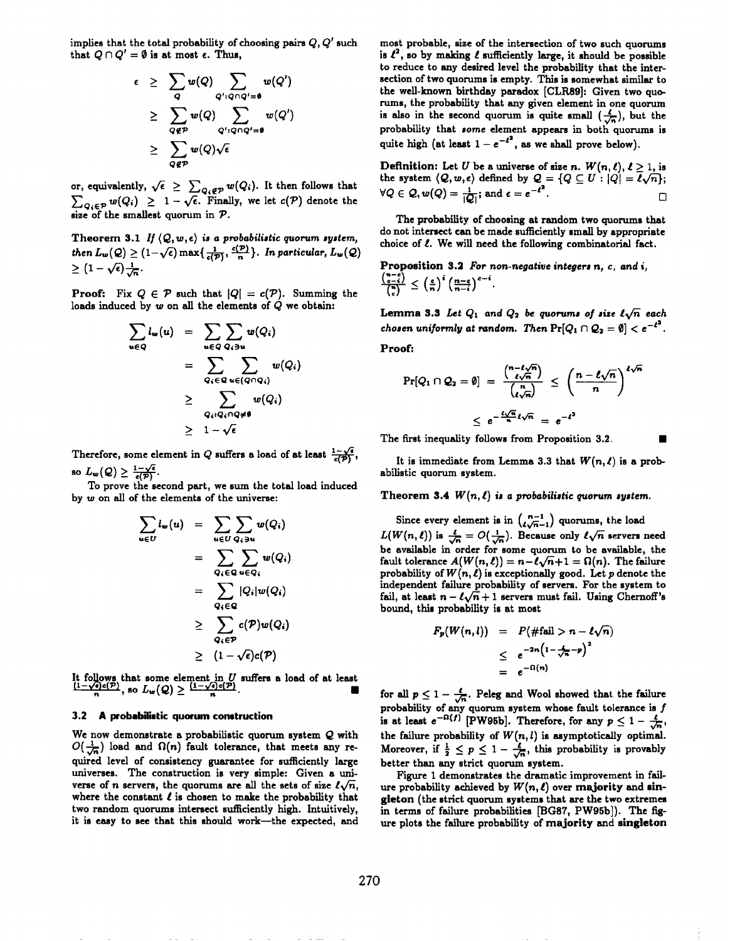implies that the total probability of choosing pairs  $Q, Q'$  such that  $Q \cap Q' = \emptyset$  is at most  $\epsilon$ . Thus,

$$
\epsilon \geq \sum_{Q} w(Q) \sum_{Q': Q \cap Q' = \emptyset} w(Q') \geq \sum_{Q \notin P} w(Q) \sum_{Q': Q \cap Q' = \emptyset} w(Q') \geq \sum_{Q \notin P} w(Q) \sqrt{\epsilon}
$$

or, equivalently,  $\sqrt{\epsilon} \geq \sum_{Q_i \notin \mathcal{P}} w(Q_i)$ . It then follows that  $\angle q_i \in \mathcal{P}^{w(\vee_i)} \leq 1 - \sqrt{\epsilon}$ . Finally, we let  $\epsilon(\tau)$  denote the

Theorem 3.1 *If*  $(Q, w, \epsilon)$  *is a probabilistic quorum system, then*  $L_w(Q) \geq (1-\sqrt{\epsilon}) \max\{\frac{1}{\epsilon(P)}, \frac{\epsilon(P)}{n}\}\$ . *In particular,*  $L_w(Q)$  $\geq (1-\sqrt{\epsilon})\frac{1}{\sqrt{\epsilon}}$ .

**Proof:** Fix  $Q \in \mathcal{P}$  such that  $|Q| = c(\mathcal{P})$ . Summing the loads induced by  $w$  on all the elements of  $Q$  we obtain:

$$
\sum_{u \in Q} l_w(u) = \sum_{u \in Q} \sum_{Q_i \ni u} w(Q_i)
$$
  
= 
$$
\sum_{Q_i \in Q} \sum_{u \in (Q \cap Q_i)} w(Q_i)
$$
  

$$
\geq \sum_{Q_i: Q_i \cap Q \neq \emptyset} w(Q_i)
$$
  

$$
\geq 1 - \sqrt{\epsilon}
$$

Therefore, some element in Q suffers a load of at least  $\frac{1}{c(\vec{p})}$ so  $L_w(Q) \geq \frac{1-\sqrt{e}}{e(P)}$ .

To prove the second part, we sum the total load induced by w on all of the elements of the universe:

$$
\sum_{u \in U} l_w(u) = \sum_{u \in U} \sum_{Q_i \ni u} w(Q_i)
$$
  
= 
$$
\sum_{Q_i \in Q} \sum_{u \in Q_i} w(Q_i)
$$
  
= 
$$
\sum_{Q_i \in Q} |Q_i| w(Q_i)
$$
  

$$
\geq \sum_{Q_i \in P} c(P) w(Q_i)
$$
  

$$
\geq (1 - \sqrt{\epsilon}) c(P)
$$

It follows that some element in *U* suffers a load of at least  $\frac{(1-\sqrt{e})e(P)}{n}$ , so  $L_w(Q) \geq \frac{(1-\sqrt{e})e(P)}{n}$ .

## 3.2 A **probabilistic quorum construction**

We now demonstrate a probabilistic quorum system  $Q$  with  $O(\frac{1}{\sqrt{n}})$  load and  $\Omega(n)$  fault tolerance, that meets any required level of consistency guarantee for sufficiently large universes. The construction is very simple: Given a universe of n servers, the quorums are all the sets of size  $\ell\sqrt{n}$ , where the constant  $\ell$  is chosen to make the probability that two random quorums intersect sufficiently high. Intuitively, it is easy to see that this should work—the expected, and

most probable, size of the intersection of two such quorume is  $\ell^2$ , so by making  $\ell$  sufficiently large, it should be possible to reduce to any desired level the probability that the intersection of two quorums is empty. This is somewhat similar to the well-known birthday paradox [CLR89]: Given two quorums, the probability that any given element in one quorum is also in the second quorum is quite small  $(\frac{\ell}{\sqrt{n}})$ , but the probability that some element appears in both quorums is quite high (at least  $1 - e^{-c}$ , as we shall prove below).

**Definition:** Let *U* be a universe of size *n*.  $W(n, l)$ ,  $l \geq 1$ , is the system  $\langle Q, w, \epsilon \rangle$  defined by  $Q = \{Q \subseteq U : |Q| = \overline{\ell \sqrt{n}}\};$ <br> $\forall Q \in Q, w(Q) = \frac{1}{|Q|}$ ; and  $\epsilon = e^{-\ell^2}$ .  $\Box$ 

The probability of choosing at random two quorums that do not intersect can be made sufficiently small by appropriate choice of  $\ell$ . We will need the following combinatorial fact,

Proposition 3.2 For non-negative integers n, c, and i,  $\frac{{\binom{n-c}{c-i}}}{{\binom{n}{i}}} \leq \left(\frac{c}{n}\right)^i \left(\frac{n-c}{n-i}\right)^{c-i}.$ 

Lemma 3.3 Let  $Q_1$  and  $Q_2$  be quorums of size  $l\sqrt{n}$  each *chosen* uniformly at random. Then  $Pr[Q_1 \cap Q_2 = \emptyset] < e^{-\ell^2}$ .

Proof:

$$
\Pr[Q_1 \cap Q_2 = \emptyset] = \frac{{\binom{n-\ell\sqrt{n}}{\ell\sqrt{n}}}}{\binom{n}{\ell\sqrt{n}}} \leq \left(\frac{n-\ell\sqrt{n}}{n}\right)^{\ell\sqrt{n}}
$$

$$
\leq e^{-\frac{\ell\sqrt{n}}{n}\ell\sqrt{n}} = e^{-\ell^2}
$$

The first inequality follows from Proposition 3.2.

It is immediate from Lemma 3.3 that  $W(n, \ell)$  is a probabilistic quorum system.

# Theorem 3.4  $W(n, l)$  is a probabilistic quorum system.

Since every element is in  $\binom{n-1}{\ell \sqrt{n}-1}$  quorums, the load  $L(W(n, \ell))$  is  $\frac{1}{\sqrt{n}} = O(\frac{1}{\sqrt{n}})$ . Because only  $\ell \sqrt{n}$  servers need be available in order for some quorum to be available, the fault tolerance  $A(W(n, \ell)) = n - \ell \sqrt{n+1} = \Omega(n)$ . The failure probability of  $W(n, \ell)$  is exceptionally good. Let p denote the independent failure probability of servers. For the system to fail, at least  $n - \ell \sqrt{n} + 1$  servers must fail. Using Chernoff's bound, this probability is at most

$$
F_p(W(n,l)) = P(\#\text{fail} > n - \ell \sqrt{n})
$$
  

$$
\leq e^{-2n(1-\frac{1}{\sqrt{n}}-p)^2}
$$
  

$$
= e^{-\Omega(n)}
$$

for all  $p \leq 1 - \frac{\ell}{\sqrt{n}}$ . Peleg and Wool showed that the failure probability of any quorum system whose fault tolerance is j is at least  $e^{-i(1)}$  [PW95b]. Therefore, for any  $p \leq 1 - \frac{2}{\sqrt{n}}$ the failure probability of  $W(n, l)$  is asymptotically optimal Moreover, if  $\frac{1}{2} \leq p \leq 1 - \frac{2}{\sqrt{n}}$ , this probability is provably better than any strict quorum system.

Figure 1 demonstrates the **dramatic** improvement in failure probability achieved by *W(n, t) over* **majority and sin**gleton (the strict quorum systems that are the two extremes in terms of failure probabilities [BG87, PW95b]). The figure plots the failure probability of majority and **singleton**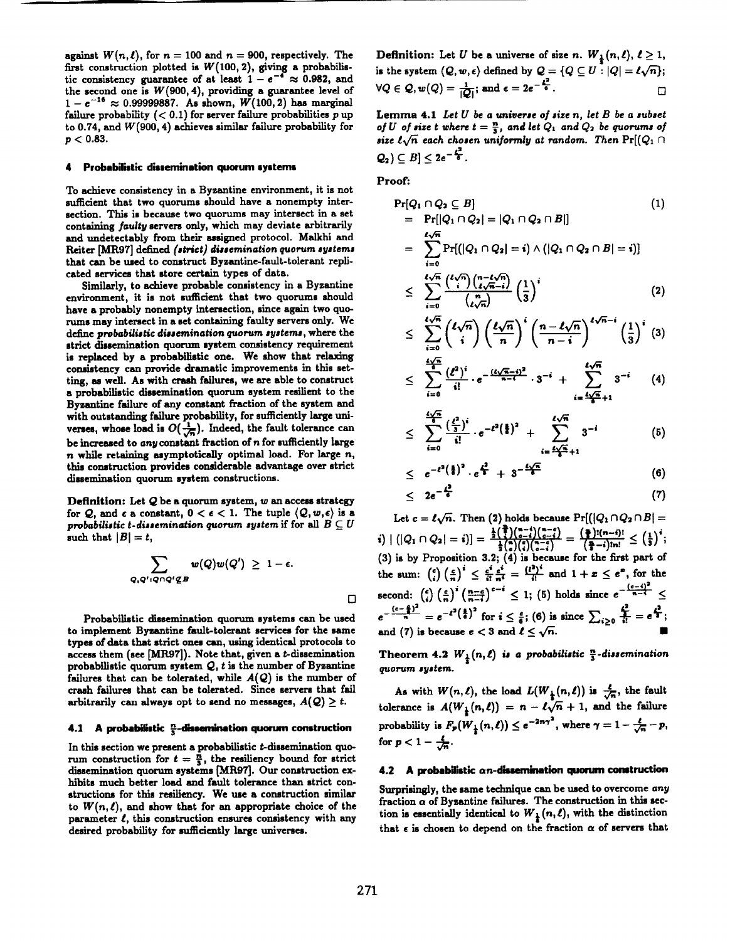against  $W(n, l)$ , for  $n = 100$  and  $n = 900$ , respectively. The first construction plotted is  $W(100, 2)$ , giving a probabilistic consistency guarantee of at least  $1 - e^{-4} \approx 0.982$ , and the second one is  $W(900, 4)$ , providing a guarantee level of  $1 - e^{-16} \approx 0.99999887$ . As shown,  $W(100, 2)$  has marginal failure probability  $( $0.1$ )$  for server failure probabilities p up to 0.74, and *W (9oO, 4) achieves* similar failure probability for  $p < 0.83$ .

#### 4 **Probabilistic dissemination quorum systems**

To achieve consistency in a Byzantine environment, it is not sufficient that two quorums should have a nonempty intersection. This is because two quorums may intersect in a set containing faulty servers only, which may deviate arbitrarily and undetectably from their assigned protocol. Malkhi and  $Reciner ~[MP97] defined ~[strict] dissemination quorum systems$ that can be used to construct Byzantine-fault-tolerant replicated services that store certain types of data.

Similarly, to achieve probable consistency in a Byzantine environment, it is not sufficient that two quorums should have a probably nonempty intersection, since again two quo rums may intersect in a set containing faulty servers only. We define *probabilidic* dissemination guorum *agatema,* where the strict dissemination quorum system consistency requirement is replaced by a probabilistic one. We show that relaxing consistency can provide dramatic improvements in this set**ting, as well. As** with crash failures, we are able to comtruct a probabilistic dissemination quorum system resilient to the Byzantine failure of any constant fraction of the system and with outstanding failure probability, for sufficiently large universes, whose load is  $O(\frac{1}{\sqrt{n}})$ . Indeed, the fault tolerance can be increased to any constant fraction of  $n$  for sufficiently large  $n$  while retaining asymptotically optimal load. For large  $n$ , this comtruction provides considerable advantage over strict dissemination quorum system constructions.

**Definition: Let Q be a quorum system, wan access strategy** for Q, and  $\epsilon$  a constant,  $0 < \epsilon < 1$ . The tuple  $\langle Q, w, \epsilon \rangle$  is a *probabilistic t-dissemination quorum system* if for all  $B \subseteq U$ such that  $|B| = t$ ,

$$
\sum_{Q,Q': Q\cap Q'\not\subseteq B} w(Q)w(Q')\ \geq\ 1-\epsilon.
$$

Probabilistic dissemination quorum systems can be used to implement Byzantine fault-tolerant services for the same types of data that strict ones can, using identical protocols to access them (see  $[MR97]$ ). Note that, given a *t*-dissemination probabilistic quorum system  $Q$ , t is the number of Byzantine failures that can be tolerated, while  $A(Q)$  is the number of crash failures that can be tolerated. Since servers that fail arbitrarily can always opt to send no messages,  $A(Q) \geq t$ .

### **4.1 A prohabifratic &Ikmination quorum construction**

In this section we present a probabilistic *t*-dissemination quorum construction for  $t = \frac{n}{3}$ , the resiliency bound for strict dissemination quorum systems [MR97]. Our construction exhibits much better load and fault tolerance than strict constructions for this resiliency. We use a construction similar to  $W(n, l)$ , and show that for an appropriate choice of the parameter  $\ell$ , this construction ensures consistency with any desired probability for sufficiently large universes.

**Definition:** Let *U* be a universe of size *n*.  $W_{\frac{1}{2}}(n, l), l \geq 1$ , is the system  $\langle \mathcal{Q}, w, \epsilon \rangle$  defined by  $\mathcal{Q} = \{Q \subseteq U : |Q| = \ell \sqrt{n}\};$  $\forall Q \in \mathcal{Q}, w(Q) = \frac{1}{|Q|}$  and  $\epsilon = 2e^{-\frac{L^2}{6}}$ .

**Lemma 4.1** *Let U be a* universe *of* **~ize n,** *let B be a aubaet of*  $U$  *of* **size**  $t$  where  $t = \frac{n}{3}$ , and let  $Q_1$  and  $Q_2$  be quorums of **size**  $\ell \sqrt{n}$  each chosen uniformly at random. Then  $Pr[(Q_1 \cap$  $Q_2$ )  $\subset B$ ]  $\lt 2e^{-\frac{L^2}{4}}$ .

Proofi

$$
\Pr[Q_1 \cap Q_2 \subseteq B] \tag{1}
$$
\n
$$
= \Pr[|Q_1 \cap Q_2| = |Q_1 \cap Q_2 \cap B|]
$$
\n
$$
= \sum_{i=0}^{t\sqrt{n}} \Pr[ (|Q_1 \cap Q_2| = i) \land (|Q_1 \cap Q_2 \cap B| = i) ]
$$
\n
$$
\leq \sum_{i=0}^{t\sqrt{n}} \frac{\binom{t\sqrt{n}}{i} \binom{n-t\sqrt{n}}{t\sqrt{n-i}}}{\binom{n}{t\sqrt{n}}} \left(\frac{1}{3}\right)^i \tag{2}
$$

$$
\leq \sum_{i=0}^{\ell\sqrt{n}} {\ell\sqrt{n} \choose i} \left(\frac{\ell\sqrt{n}}{n}\right)^i \left(\frac{n-\ell\sqrt{n}}{n-i}\right)^{\ell\sqrt{n}-i} \left(\frac{1}{3}\right)^i (3)
$$

$$
\leq \sum_{i=0}^{\frac{4\sqrt{n}}{6}} \frac{(\ell^2)^i}{i!} \cdot e^{-\frac{(\ell\sqrt{n}-i)^2}{n-1}} \cdot 3^{-i} + \sum_{i=\frac{\ell\sqrt{n}}{6}+1}^{\ell\sqrt{n}} 3^{-i} \qquad (4)
$$

$$
\leq \sum_{i=0}^{\frac{4\sqrt{n}}{5}} \frac{\left(\frac{\ell^2}{5}\right)^i}{i!} \cdot e^{-\ell^2 \left(\frac{5}{6}\right)^2} + \sum_{i=\frac{4\sqrt{n}}{5}+1}^{\ell \sqrt{n}} 3^{-i} \hspace{1cm} (5)
$$

$$
\leq e^{-t^2(\frac{1}{6})^2} \cdot e^{\frac{t^2}{4}} + 3^{-\frac{t\sqrt{n}}{6}} \tag{6}
$$

$$
\leq 2e^{-\frac{t^2}{6}} \tag{7}
$$

Let  $c = \ell \sqrt{n}$ . Then (2) holds because  $Pr[(|Q_1 \cap Q_2 \cap B| =$  $\mathbf{A}[\mathbf{Q}_1 \cap Q_2] = \mathbf{i}$ )] =  $\frac{\frac{1}{2}(\frac{1}{2})(\frac{n-i}{n-i})}{\frac{1}{2}(\frac{n}{n})(\frac{n-i}{n-i})}$  =  $\frac{(\frac{n}{2})(n-i)!}{(\frac{n}{2}-i)!n!} \leq (\frac{1}{3})^{\frac{1}{2}}$  $(3)$  is by Proposition 3.2;  $(4)$  is because for the first part of the sum:  $\binom{e}{i} \left(\frac{e}{n}\right)^i \leq \frac{e}{n} \frac{e}{n^2} = \frac{1}{n}$  and  $1+x \leq e^x$ , for the second:  $\binom{e}{i} \left(\frac{e}{n}\right)^i \left(\frac{n-e}{n-i}\right)^{e-i} \leq 1$ ; (5) holds since  $e^{-\frac{(e-i)^2}{n-i}} \leq$  $e^{-\frac{(c-\frac{1}{n})^2}{n}} = e^{-t^2(\frac{1}{6})^2}$  for  $i \leq \frac{c}{6}$ ; (6) is since  $\sum_{i>0} \frac{c}{i!} = e^{\frac{t^2}{3}}$ and (7) is because  $e < 3$  and  $\ell \leq \sqrt{n}$ .

**Theorem 4.2**  $W_{\frac{1}{2}}(n,\ell)$  is a probabilistic  $\frac{n}{3}$ -dissemination guorum system.

As with  $W(n, \ell)$ , the load  $L(W_{\frac{1}{2}}(n, \ell))$  is  $\frac{\ell}{\sqrt{n}}$ , the fault tolerance is  $A(W_1(n,\ell)) = n - \ell \sqrt{n} + 1$ , and the failure probability is  $F_p(W_{\frac{1}{2}}(n,\ell)) \leq e^{-2n\gamma^2}$ , where  $\gamma = 1 - \frac{\ell}{\sqrt{n}} - p$ , for  $p < 1 - \frac{4}{\sqrt{n}}$ .

### 4.2 **A probabilistic** an-daaemma" **tion quorum construction**

Surprisingly, the same technique can be used to overcome any fraction  $\alpha$  of Byzantine failures. The construction in this section is essentially identical to  $W_{\frac{1}{k}}(n,\ell)$ , with the distinction that  $\epsilon$  is chosen to depend on the fraction  $\alpha$  of servers that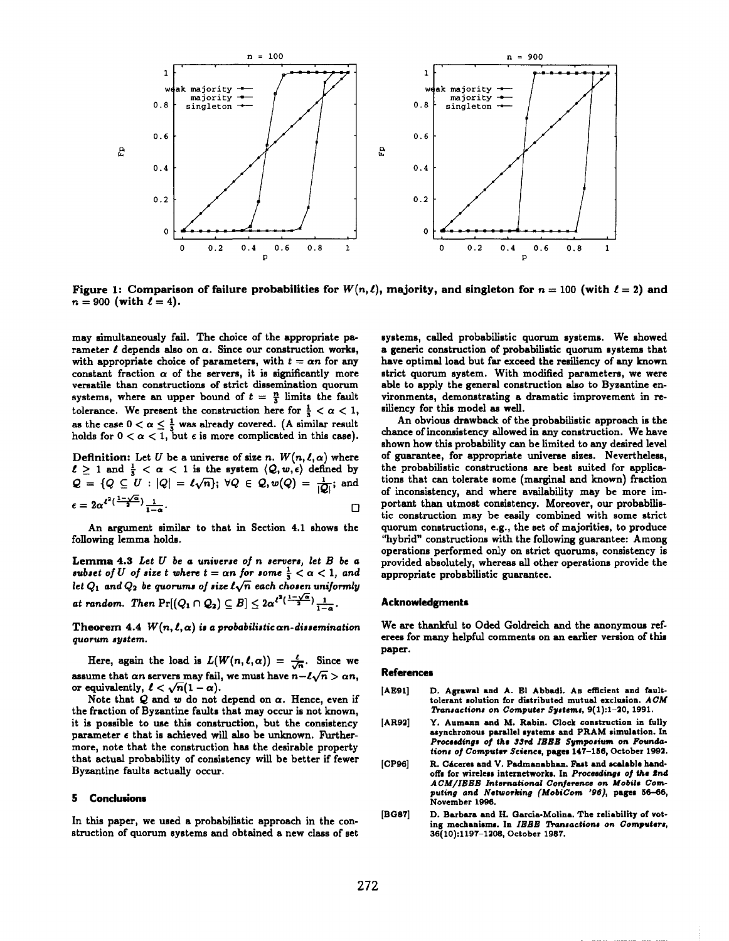

**Figure** 1: Comparison of failure probabilities for  $W(n, l)$ , majority, and singleton for  $n = 100$  (with  $l = 2$ ) and  $n = 900$  (with  $l = 4$ ).

may simultaneously fail. The choice of the appropriate parameter  $\ell$  depends also on  $\alpha$ . Since our construction works, with appropriate choice of parameters, with  $t = \alpha n$  for any constant fraction  $\alpha$  of the servers, it is significantly more versatile than constructions of strict dissemination quorum systems, where an upper bound of  $t = \frac{n}{3}$  limits the fault tolerance. We present the construction here for  $\frac{1}{3} < \alpha < 1$ , as the case  $0 < \alpha \leq \frac{1}{3}$  was already covered. (A similar result holds for  $0 < \alpha < 1$ , but  $\epsilon$  is more complicated in this case).

Definition: Let *U* be a universe of size *n*.  $W(n, \ell, \alpha)$  where  $\ell \geq 1$  and  $\frac{1}{3} < \alpha < 1$  is the system  $\langle \mathcal{Q}, w, \epsilon \rangle$  defined by  $Q = \{ Q \subseteq U : |Q| = \ell \sqrt{n} \}; \; \forall Q \in \mathcal{Q}, w(Q) = \frac{1}{10}$  $\epsilon = 2\alpha^{\ell^2(\frac{1-\sqrt{\alpha}}{2})}\frac{1}{1-\alpha}.$ 

An argument similar to that in Section 4.1 shows the following lemma holds.

Lemma 4.3 *Let* U *be a* universe of n aeruera, *let B be a subset* of *U* of size *t* where  $t = \alpha n$  for some  $\frac{1}{3} < \alpha < 1$ , and let  $Q_1$  and  $Q_2$  be quorums of size  $l\sqrt{n}$  each chosen uniformly  $\alpha$  *at* random. Then  $\Pr[(Q_1 \cap Q_2) \subseteq B] \leq 2\alpha^{\ell^2(\frac{1-\sqrt{\alpha}}{2})}\frac{1}{1-\alpha}$ 

Theorem 4.4  $W(n, \ell, \alpha)$  is a probabilistic an-dissemination *guorum agatem.*

Here, again the load is  $L(W(n, \ell, \alpha)) = \frac{\ell}{\sqrt{n}}$ . Since we assume that an servers may fail, we must have  $n - \ell \sqrt{n} > \alpha n$ , or equivalently,  $\ell < \sqrt{n}(1 - \alpha)$ .

Note that  $Q$  and  $w$  do not depend on  $\alpha$ . Hence, even if the fraction of Byzantine faults that may occur ie not known, it is possible to use this construction, but the consistency parameter  $\epsilon$  that is achieved will also be unknown. Furthermore, note that the construction has the desirable property that actual probability of consistency will be better if fewer Byzantine faults actually occur.

#### 5 **Conclusions**

In this paper, we used a probabilistic approach in the construction of quorum systems and obtained a new class of set systems, called probabilistic quorum systems. We showed a generic construction of probabilistic quorum systems that have optimal load but far exceed the resiliency of any known strict quorum system. With modified parameters, we were able to apply the general construction also to Byzemtine environments, demonstrating a dramatic improvement in resiliency for this model as well.

An obvious drawback of the probabilistic approach is the chance of inconsistency allowed in any construction. We have shown how this probability can be limited to any desired level of guarantee, for appropriate universe sizes. Nevertheless, the probabilistic constructions are best suited for applicatione that can tolerate some (marginal and known) fraction of inconsistency, and where availability may be more important then utmost consistency. Moreover, our probabilistic constmction may be easily combined with some strict quorum constructions, e.g., the set of majorities, to produce "hybrid" constructions with the following guarantee: Among operations performed only on strict quorums, consistency is provided absolutely, whereas all other operations provide the **appropriatee probabilistic guarantee.**

#### **Acknowledgment**

We are thankful to Oded Goldreich and the anonymous referees for many helpful comments on an earlier version **of** this paper.

#### **References**

- [AE91] D. Agrawal and A. El Abbadi. An efficient and faulttolerant solution for distributed mutual exclusion. ACM Transactions on Computer Systems, 9(1):1-20, 1991.
- [AR92] Y. Aumann and M. Rabin. Clock construction in fully asynchronous **parallel systems and** PRAM simulation. In Proceedings of the 33rd IEEE Symposium on Founda*tiom of* Computer Science, pages 147-1S6, October 1992.
- [CP96] R. Cáceres and V. Padmanabhan. Fast and scalable handoffs for wireless internetworks. In Proceedings of the 2nd **A** *CIU\XBEJ3***International Conferenceon Mobile Gwnputing** *and* **Networking (MobiCom '96),** pagee **56-66,** November 1996.
- [BG87] D. Barbsra snd H. Garcia-Molina. **The reliability of vot**ing mechanisms. In IEEE Transactions on Computers, 36(10 ):1197–120S, October 1987.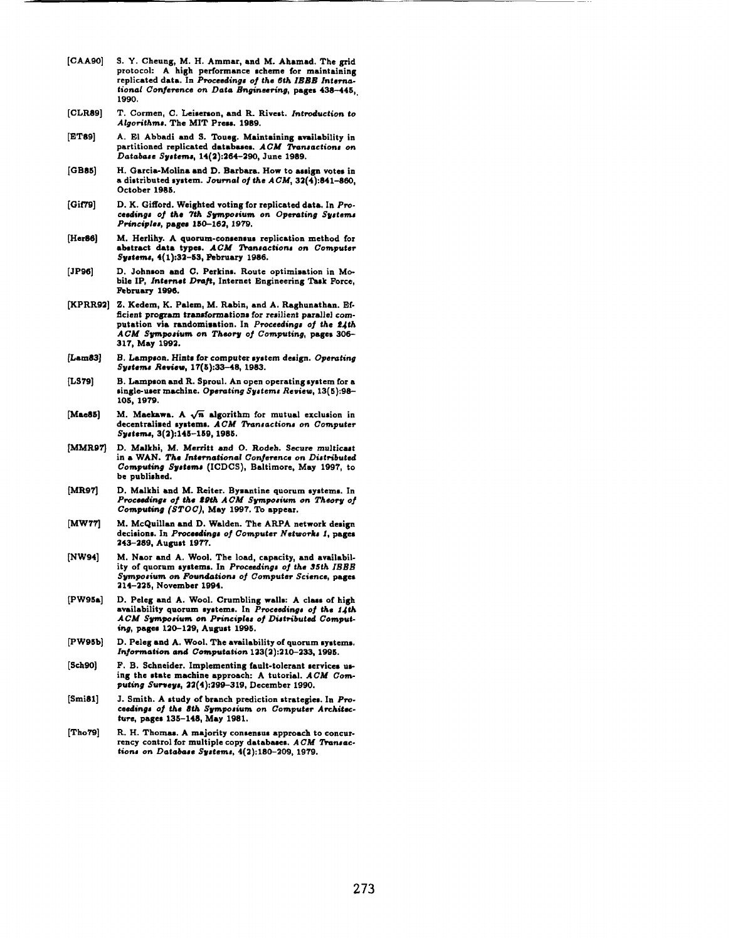- **[CAA90] S. Y. Cheung, M. H. Ammar, and M.** Ahamad. **The grid protocol: A high performance scheme for maintaining replicated data. In F%oceedings of** *tha 6th IEEE International Conjerenee on Data k~"neem"ng,* **pagee 436-445,, 1990.**
- **[t2LR89] T. Cormen, C. Leisereon, and R. Wlve=t. Introduction to** *Algorithms.* **The MIT Press. 1989.**
- [ET89]  $A$ . El Abbadi and S. Toueg. Maintaining availability in **partitioned replicated databaees. ACM !l'+orwactiont on** *Database* **.\$ytemq 14(2):264-290, June 1989.**
- [GB85J **H. Garcia-Molina and D. Barbara. How to aesign votes in a dhtribut.d system.** *Journal oj* **the ACM, 32(4):841-860, October 19S6.**
- **[(3it79] D. K. Gifford. Weighted voting for replicated data. In** *Pro***ceedings of the 7th Sympo8ium on Operating SVatama** *Principle,* **pagea 130-162, 1979.**
- [Her86] **M. Herlihy. A quorum-consensus replication method for**  $a$ **b** abstract data types.  $ACM$  Transactions on Computer **Systems, 4(1):32-S3, February 1986.**
- **[JP96] D. Johrmcm** and C. Perkins. **Route optimisation in Mobile 1P, Intetvmt***Draft,* **Internet Engineering 'lhek Force, Februacy 1396.**
- **~PRR92] Z. Kedem, K. Palem, M. RabhI, and A. Raghunathan. Efficient program transformations for resilient parallel computation via randomisation. In** *Proceedings of the 2Jth ACM Sppmium on Theory of* **Computing, pagee306- 317, May 1992.**
- [Lam83] **B, Lampeon.Hintsfor computersystemdesign. Operating S@em# Review, 17(6):33-48, 1983.**
- [LS79] **B. Lampson and R. Sproul. An open operating system for a**  $single-user machine. Operating Systems Review, 13(5):98-$ 10s, 1979.
- [Mae86] M. Maekawa. A  $\sqrt{n}$  algorithm for mutual exclusion in **decentralised ~ystemo. ACM Tbrmsactiona on** *Compute? Syctems, 3(2):145-169, 1986,*
- **[MMR9q** D. **Malkhi, M.** Merritt and O. Rodeh. Secure multicast in *a WAN. The* **International Conference on Distributed** *Computing* **Sycteme (ICDCS), Baltimore, May 1997, to be published.**
- **[MR971** D. Malkhi and M. Reiter. Bysantine quorum systems. In<br>Proceedings of the 29th ACM Symposium on Theory of **Computing (STOC), May 1997. '1% appear.**
- **[MW771 M. McQuillan and D. Walden. The ARPA network design**  $decisions.$  In Proceedings of Computer Networks 1, pages **243-289, August 1977.**
- **[NW94] M. Naor and A.** WOOL The load, **capacity,** and availab}lity of quorum systems. In Proceedings of the 35th IBBB  $Symposing on$  **Foundations** of *Computer* Science, pages **214-226, November 1994.**
- **[Pw9sa] D. Peleg and A. Wool. Crumbling walls: A cleem af high availabllit y quorum eyetems. In** *Proeeeding# o~ the f Jth*  $ACM$  Symposium on Principles of Distributed Comput**ing, pagee 120-129, Auguct 1996.**
- **~W95b] D. Peleg and A. WOOL The availability of quorum** ●**ystems. Information nnd** *Computation123(2):210-233, 1995.*
- **[Sch90]** *F.* **B. Schneider. Implementing fault-tolerant services ue**ing the state machine approach: A tutorial.  $ACM$  Com $p$ uting *Surveys*, 22(4):299-319, December 1990.
- **[SmiSl] J. Smith. A study of branch prediction strategies. In** *Pra***ceedinga ef the 8th** *Sgmpoaium on* **Computer A rchitec***twe,* **pages 13 S-148, May 1981.**
- **[Tho79] R. H. Thomas. A majority consensus approach to concurrency control for multiple copy databaeee. ACM !hwmzc. tiom on Databaee** *S@em8,* **4(2):180-209, 1979.**